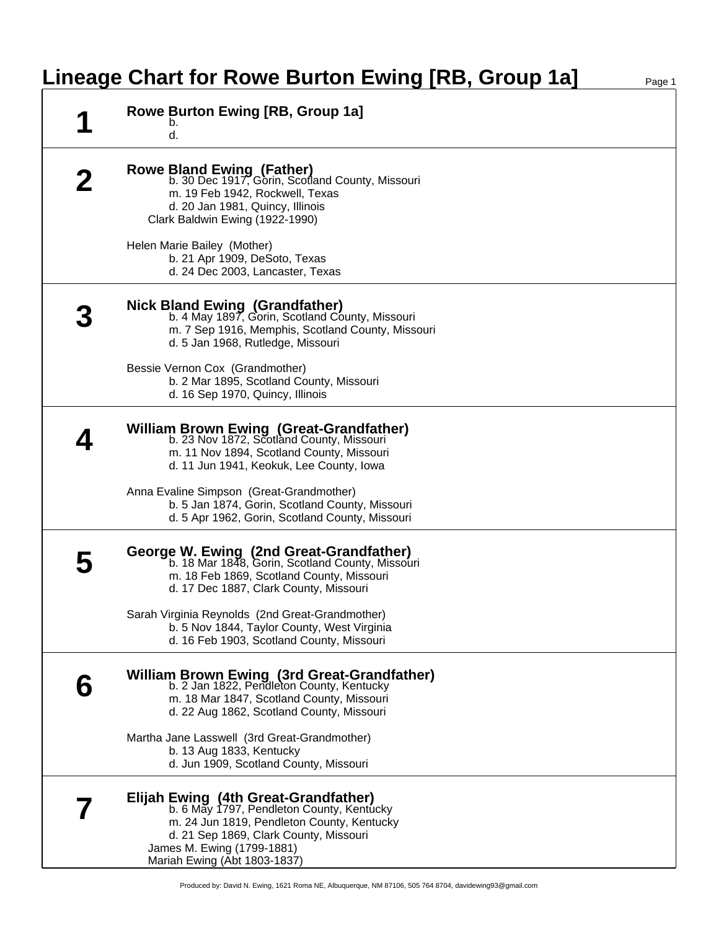## **Lineage Chart for Rowe Burton Ewing [RB, Group 1a]** Page 1

|   | <b>Rowe Burton Ewing [RB, Group 1a]</b><br>b.<br>d.                                                                                                                                                                                     |
|---|-----------------------------------------------------------------------------------------------------------------------------------------------------------------------------------------------------------------------------------------|
|   | <b>Rowe Bland Ewing (Father)</b><br>b. 30 Dec 1917, Gorin, Scotland County, Missouri<br>m. 19 Feb 1942, Rockwell, Texas<br>d. 20 Jan 1981, Quincy, Illinois<br>Clark Baldwin Ewing (1922-1990)                                          |
|   | Helen Marie Bailey (Mother)<br>b. 21 Apr 1909, DeSoto, Texas<br>d. 24 Dec 2003, Lancaster, Texas                                                                                                                                        |
|   | <b>Nick Bland Ewing (Grandfather)</b><br>b. 4 May 1897, Gorin, Scotland County, Missouri<br>m. 7 Sep 1916, Memphis, Scotland County, Missouri<br>d. 5 Jan 1968, Rutledge, Missouri                                                      |
|   | Bessie Vernon Cox (Grandmother)<br>b. 2 Mar 1895, Scotland County, Missouri<br>d. 16 Sep 1970, Quincy, Illinois                                                                                                                         |
|   | <b>William Brown Ewing (Great-Grandfather)</b><br>b. 23 Nov 1872, Scotland County, Missouri<br>m. 11 Nov 1894, Scotland County, Missouri<br>d. 11 Jun 1941, Keokuk, Lee County, Iowa                                                    |
|   | Anna Evaline Simpson (Great-Grandmother)<br>b. 5 Jan 1874, Gorin, Scotland County, Missouri<br>d. 5 Apr 1962, Gorin, Scotland County, Missouri                                                                                          |
|   | George W. Ewing (2nd Great-Grandfather)<br>b. 18 Mar 1848, Gorin, Scotland County, Missouri<br>m. 18 Feb 1869, Scotland County, Missouri<br>d. 17 Dec 1887, Clark County, Missouri                                                      |
|   | Sarah Virginia Reynolds (2nd Great-Grandmother)<br>b. 5 Nov 1844, Taylor County, West Virginia<br>d. 16 Feb 1903, Scotland County, Missouri                                                                                             |
| 6 | William Brown Ewing (3rd Great-Grandfather)<br>b. 2 Jan 1822, Pendleton County, Kentucky<br>m. 18 Mar 1847, Scotland County, Missouri<br>d. 22 Aug 1862, Scotland County, Missouri                                                      |
|   | Martha Jane Lasswell (3rd Great-Grandmother)<br>b. 13 Aug 1833, Kentucky<br>d. Jun 1909, Scotland County, Missouri                                                                                                                      |
|   | Elijah Ewing (4th Great-Grandfather)<br>b. 6 May 1797, Pendleton County, Kentucky<br>m. 24 Jun 1819, Pendleton County, Kentucky<br>d. 21 Sep 1869, Clark County, Missouri<br>James M. Ewing (1799-1881)<br>Mariah Ewing (Abt 1803-1837) |